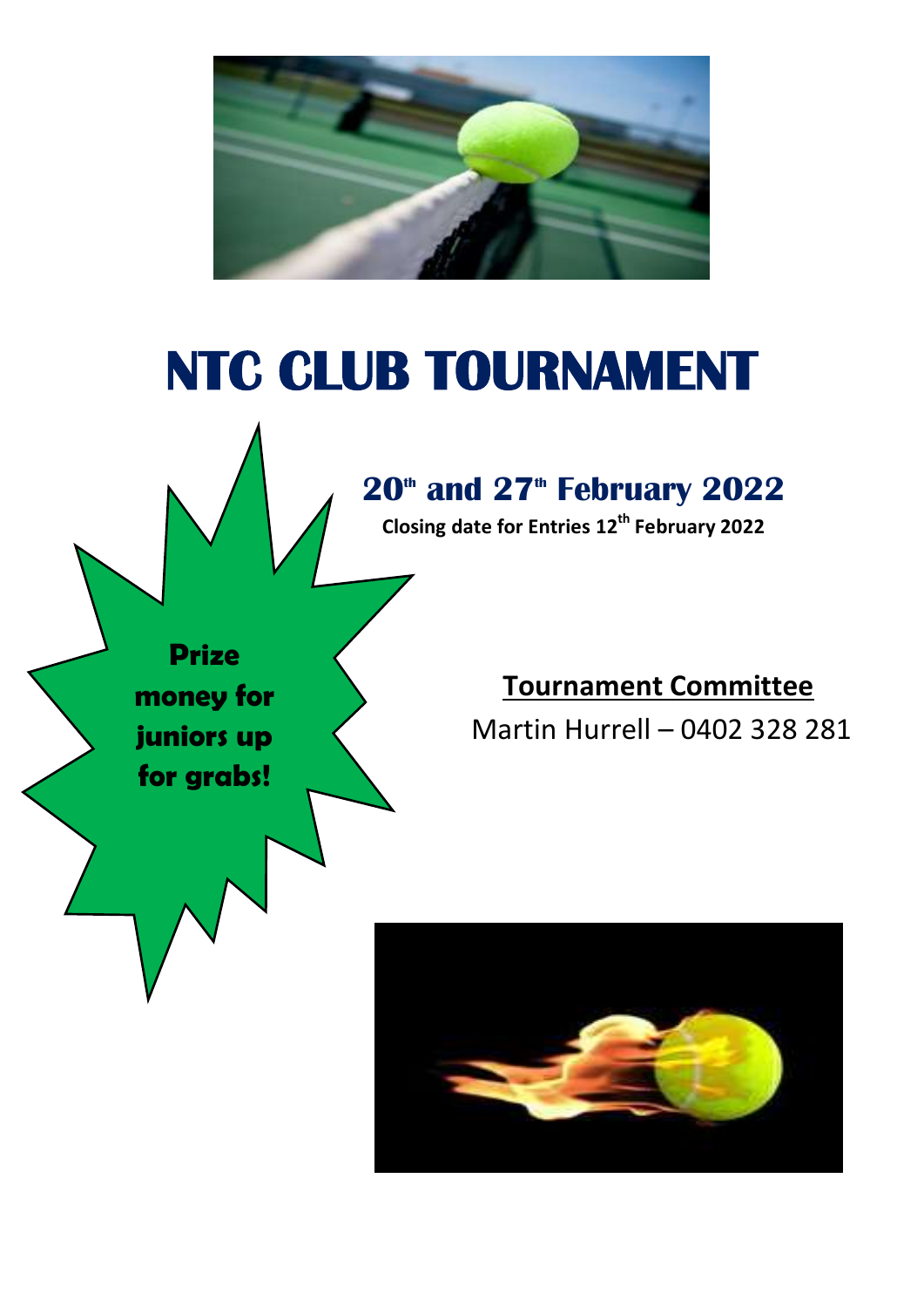

# **NTC CLUB TOURNAMENT**



## **20th and 27th February 2022**

**Closing date for Entries 12th February 2022** 

**Tournament Committee** Martin Hurrell – 0402 328 281

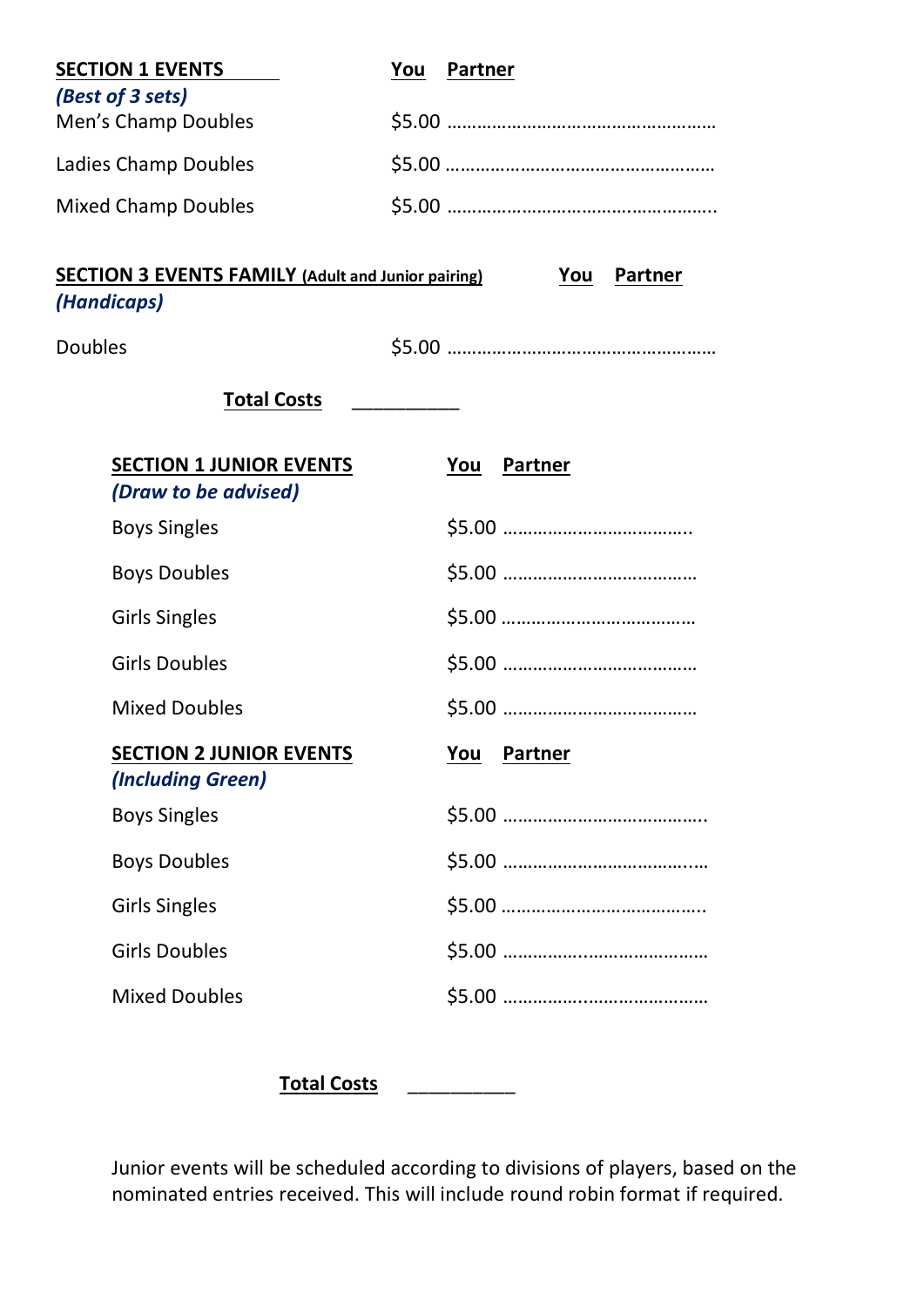| <b>SECTION 1 EVENTS</b>                                                  | You            | <b>Partner</b> |                       |
|--------------------------------------------------------------------------|----------------|----------------|-----------------------|
| (Best of 3 sets)                                                         |                |                |                       |
| Men's Champ Doubles                                                      |                |                |                       |
| Ladies Champ Doubles                                                     |                |                |                       |
| <b>Mixed Champ Doubles</b>                                               |                |                |                       |
| <b>SECTION 3 EVENTS FAMILY (Adult and Junior pairing)</b><br>(Handicaps) |                |                | <b>Partner</b><br>You |
| <b>Doubles</b>                                                           |                |                |                       |
| <b>Total Costs</b>                                                       | ______________ |                |                       |
| <b>SECTION 1 JUNIOR EVENTS</b><br>(Draw to be advised)                   |                | You            | <b>Partner</b>        |
| <b>Boys Singles</b>                                                      |                |                |                       |
| <b>Boys Doubles</b>                                                      |                |                |                       |
| <b>Girls Singles</b>                                                     |                |                |                       |
| <b>Girls Doubles</b>                                                     |                |                |                       |
| <b>Mixed Doubles</b>                                                     |                |                |                       |
| <b>SECTION 2 JUNIOR EVENTS</b><br>(Including Green)                      |                |                | <b>You Partner</b>    |
| <b>Boys Singles</b>                                                      |                |                |                       |
| <b>Boys Doubles</b>                                                      |                |                |                       |
| <b>Girls Singles</b>                                                     |                |                |                       |
| <b>Girls Doubles</b>                                                     |                |                |                       |
| <b>Mixed Doubles</b>                                                     |                |                |                       |

**Total Costs** \_\_\_\_\_\_\_\_\_\_

Junior events will be scheduled according to divisions of players, based on the nominated entries received. This will include round robin format if required.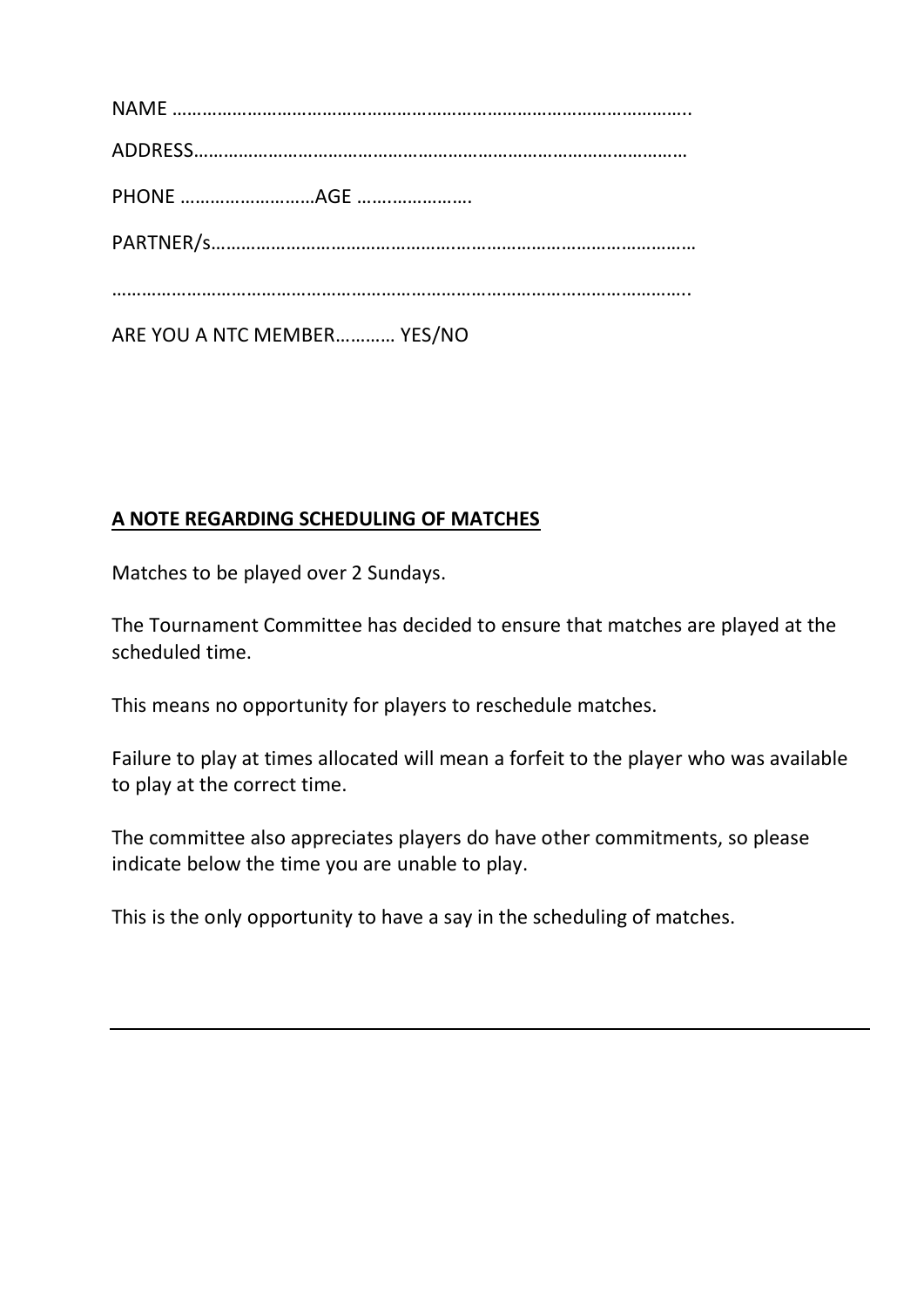| ARE YOU A NTC MEMBER YES/NO |
|-----------------------------|

#### **A NOTE REGARDING SCHEDULING OF MATCHES**

Matches to be played over 2 Sundays.

The Tournament Committee has decided to ensure that matches are played at the scheduled time.

This means no opportunity for players to reschedule matches.

Failure to play at times allocated will mean a forfeit to the player who was available to play at the correct time.

The committee also appreciates players do have other commitments, so please indicate below the time you are unable to play.

This is the only opportunity to have a say in the scheduling of matches.